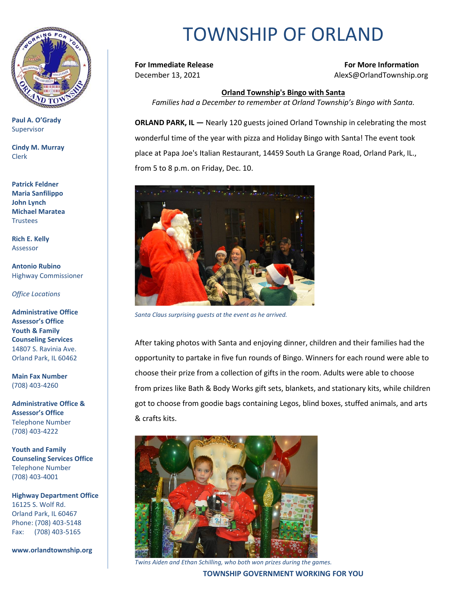

**Paul A. O'Grady** Supervisor

**Cindy M. Murray** Clerk

**Patrick Feldner Maria Sanfilippo John Lynch Michael Maratea Trustees** 

**Rich E. Kelly** Assessor

**Antonio Rubino** Highway Commissioner

*Office Locations*

**Administrative Office Assessor's Office Youth & Family Counseling Services** 14807 S. Ravinia Ave. Orland Park, IL 60462

**Main Fax Number**  (708) 403-4260

**Administrative Office & Assessor's Office**  Telephone Number (708) 403-4222

**Youth and Family Counseling Services Office**  Telephone Number (708) 403-4001

**Highway Department Office** 16125 S. Wolf Rd. Orland Park, IL 60467 Phone: (708) 403-5148 Fax: (708) 403-5165

**www.orlandtownship.org**

## TOWNSHIP OF ORLAND

**For Immediate Release For More Information** December 13, 2021 AlexS@OrlandTownship.org

## **Orland Township's Bingo with Santa**

*Families had a December to remember at Orland Township's Bingo with Santa.*

**ORLAND PARK, IL —** Nearly 120 guests joined Orland Township in celebrating the most wonderful time of the year with pizza and Holiday Bingo with Santa! The event took place at Papa Joe's Italian Restaurant, 14459 South La Grange Road, Orland Park, IL., from 5 to 8 p.m. on Friday, Dec. 10.



*Santa Claus surprising guests at the event as he arrived.*

After taking photos with Santa and enjoying dinner, children and their families had the opportunity to partake in five fun rounds of Bingo. Winners for each round were able to choose their prize from a collection of gifts in the room. Adults were able to choose from prizes like Bath & Body Works gift sets, blankets, and stationary kits, while children got to choose from goodie bags containing Legos, blind boxes, stuffed animals, and arts & crafts kits.



*Twins Aiden and Ethan Schilling, who both won prizes during the games.*

**TOWNSHIP GOVERNMENT WORKING FOR YOU**